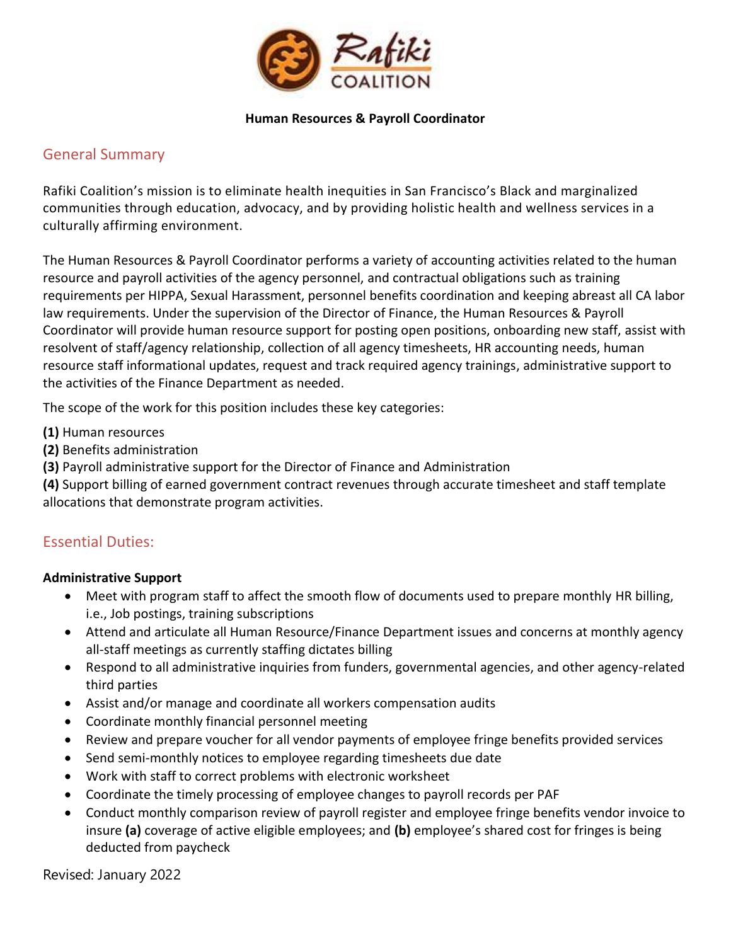

### **Human Resources & Payroll Coordinator**

## General Summary

Rafiki Coalition's mission is to eliminate health inequities in San Francisco's Black and marginalized communities through education, advocacy, and by providing holistic health and wellness services in a culturally affirming environment.

The Human Resources & Payroll Coordinator performs a variety of accounting activities related to the human resource and payroll activities of the agency personnel, and contractual obligations such as training requirements per HIPPA, Sexual Harassment, personnel benefits coordination and keeping abreast all CA labor law requirements. Under the supervision of the Director of Finance, the Human Resources & Payroll Coordinator will provide human resource support for posting open positions, onboarding new staff, assist with resolvent of staff/agency relationship, collection of all agency timesheets, HR accounting needs, human resource staff informational updates, request and track required agency trainings, administrative support to the activities of the Finance Department as needed.

The scope of the work for this position includes these key categories:

- **(1)** Human resources
- **(2)** Benefits administration
- **(3)** Payroll administrative support for the Director of Finance and Administration

**(4)** Support billing of earned government contract revenues through accurate timesheet and staff template allocations that demonstrate program activities.

# Essential Duties:

## **Administrative Support**

- Meet with program staff to affect the smooth flow of documents used to prepare monthly HR billing, i.e., Job postings, training subscriptions
- Attend and articulate all Human Resource/Finance Department issues and concerns at monthly agency all-staff meetings as currently staffing dictates billing
- Respond to all administrative inquiries from funders, governmental agencies, and other agency-related third parties
- Assist and/or manage and coordinate all workers compensation audits
- Coordinate monthly financial personnel meeting
- Review and prepare voucher for all vendor payments of employee fringe benefits provided services
- Send semi-monthly notices to employee regarding timesheets due date
- Work with staff to correct problems with electronic worksheet
- Coordinate the timely processing of employee changes to payroll records per PAF
- Conduct monthly comparison review of payroll register and employee fringe benefits vendor invoice to insure **(a)** coverage of active eligible employees; and **(b)** employee's shared cost for fringes is being deducted from paycheck

Revised: January 2022